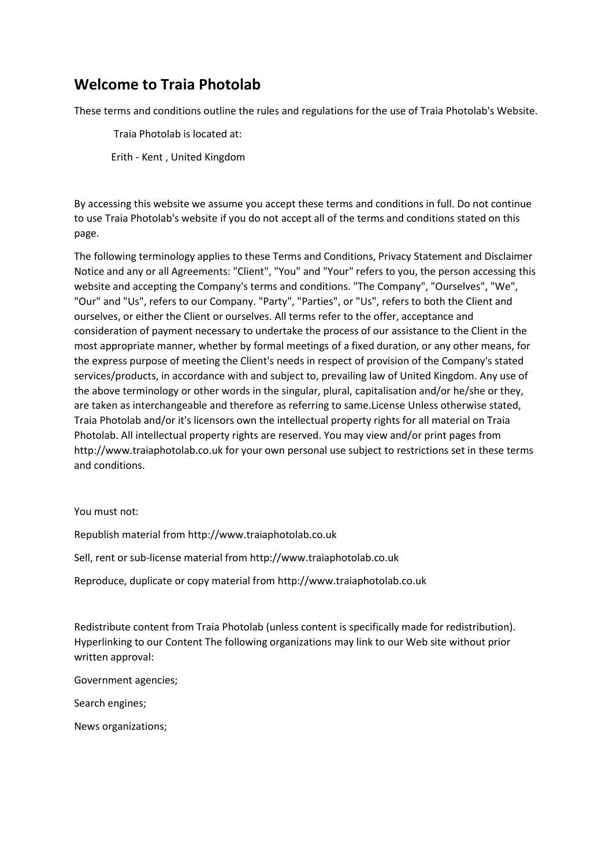#### **Welcome to Traia Photolab**

These terms and conditions outline the rules and regulations for the use of Traia Photolab's Website.

Traia Photolab is located at:

Erith - Kent , United Kingdom

By accessing this website we assume you accept these terms and conditions in full. Do not continue to use Traia Photolab's website if you do not accept all of the terms and conditions stated on this page.

The following terminology applies to these Terms and Conditions, Privacy Statement and Disclaimer Notice and any or all Agreements: "Client", "You" and "Your" refers to you, the person accessing this website and accepting the Company's terms and conditions. "The Company", "Ourselves", "We", "Our" and "Us", refers to our Company. "Party", "Parties", or "Us", refers to both the Client and ourselves, or either the Client or ourselves. All terms refer to the offer, acceptance and consideration of payment necessary to undertake the process of our assistance to the Client in the most appropriate manner, whether by formal meetings of a fixed duration, or any other means, for the express purpose of meeting the Client's needs in respect of provision of the Company's stated services/products, in accordance with and subject to, prevailing law of United Kingdom. Any use of the above terminology or other words in the singular, plural, capitalisation and/or he/she or they, are taken as interchangeable and therefore as referring to same.License Unless otherwise stated, Traia Photolab and/or it's licensors own the intellectual property rights for all material on Traia Photolab. All intellectual property rights are reserved. You may view and/or print pages from http://www.traiaphotolab.co.uk for your own personal use subject to restrictions set in these terms and conditions.

#### You must not:

Republish material from http://www.traiaphotolab.co.uk

Sell, rent or sub-license material from http://www.traiaphotolab.co.uk

Reproduce, duplicate or copy material from http://www.traiaphotolab.co.uk

Redistribute content from Traia Photolab (unless content is specifically made for redistribution). Hyperlinking to our Content The following organizations may link to our Web site without prior written approval:

Government agencies;

Search engines;

News organizations;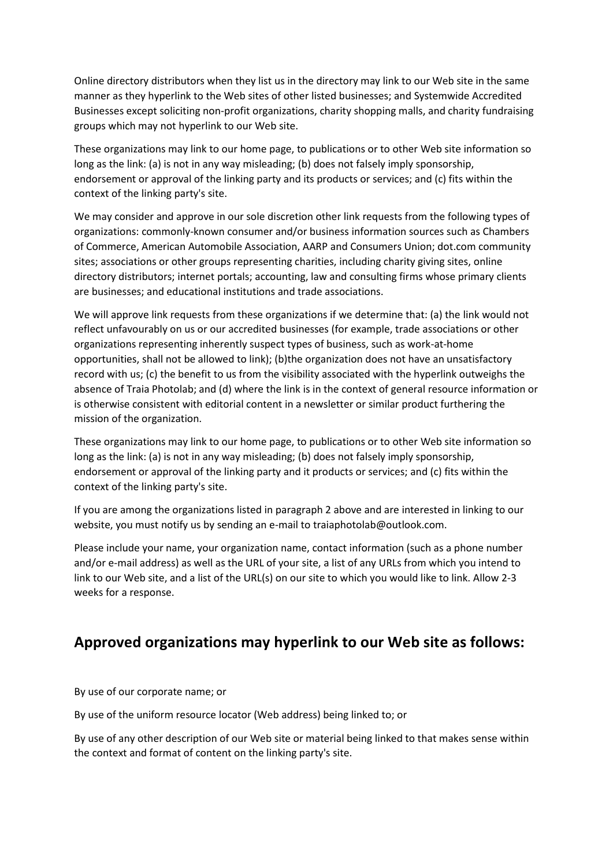Online directory distributors when they list us in the directory may link to our Web site in the same manner as they hyperlink to the Web sites of other listed businesses; and Systemwide Accredited Businesses except soliciting non-profit organizations, charity shopping malls, and charity fundraising groups which may not hyperlink to our Web site.

These organizations may link to our home page, to publications or to other Web site information so long as the link: (a) is not in any way misleading; (b) does not falsely imply sponsorship, endorsement or approval of the linking party and its products or services; and (c) fits within the context of the linking party's site.

We may consider and approve in our sole discretion other link requests from the following types of organizations: commonly-known consumer and/or business information sources such as Chambers of Commerce, American Automobile Association, AARP and Consumers Union; dot.com community sites; associations or other groups representing charities, including charity giving sites, online directory distributors; internet portals; accounting, law and consulting firms whose primary clients are businesses; and educational institutions and trade associations.

We will approve link requests from these organizations if we determine that: (a) the link would not reflect unfavourably on us or our accredited businesses (for example, trade associations or other organizations representing inherently suspect types of business, such as work-at-home opportunities, shall not be allowed to link); (b)the organization does not have an unsatisfactory record with us; (c) the benefit to us from the visibility associated with the hyperlink outweighs the absence of Traia Photolab; and (d) where the link is in the context of general resource information or is otherwise consistent with editorial content in a newsletter or similar product furthering the mission of the organization.

These organizations may link to our home page, to publications or to other Web site information so long as the link: (a) is not in any way misleading; (b) does not falsely imply sponsorship, endorsement or approval of the linking party and it products or services; and (c) fits within the context of the linking party's site.

If you are among the organizations listed in paragraph 2 above and are interested in linking to our website, you must notify us by sending an e-mail to traiaphotolab@outlook.com.

Please include your name, your organization name, contact information (such as a phone number and/or e-mail address) as well as the URL of your site, a list of any URLs from which you intend to link to our Web site, and a list of the URL(s) on our site to which you would like to link. Allow 2-3 weeks for a response.

#### **Approved organizations may hyperlink to our Web site as follows:**

By use of our corporate name; or

By use of the uniform resource locator (Web address) being linked to; or

By use of any other description of our Web site or material being linked to that makes sense within the context and format of content on the linking party's site.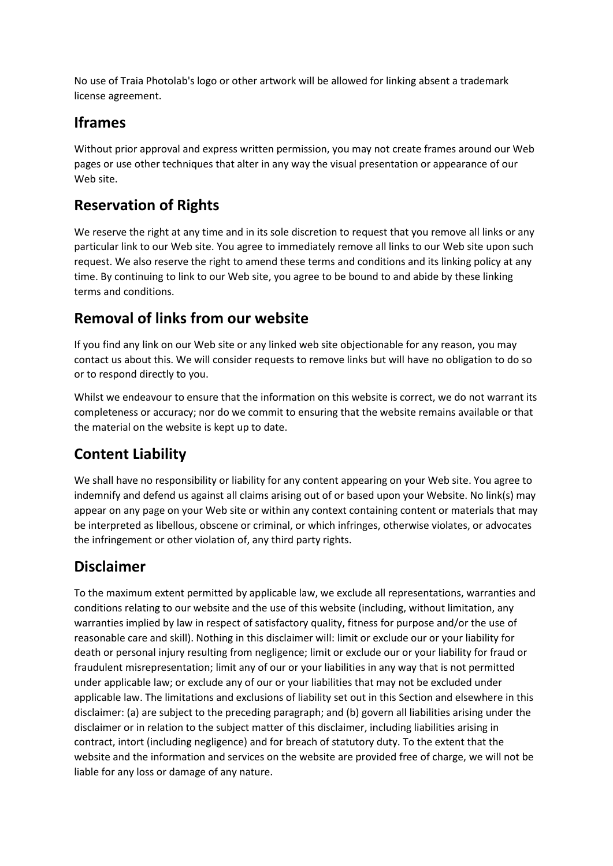No use of Traia Photolab's logo or other artwork will be allowed for linking absent a trademark license agreement.

## **Iframes**

Without prior approval and express written permission, you may not create frames around our Web pages or use other techniques that alter in any way the visual presentation or appearance of our Web site.

## **Reservation of Rights**

We reserve the right at any time and in its sole discretion to request that you remove all links or any particular link to our Web site. You agree to immediately remove all links to our Web site upon such request. We also reserve the right to amend these terms and conditions and its linking policy at any time. By continuing to link to our Web site, you agree to be bound to and abide by these linking terms and conditions.

### **Removal of links from our website**

If you find any link on our Web site or any linked web site objectionable for any reason, you may contact us about this. We will consider requests to remove links but will have no obligation to do so or to respond directly to you.

Whilst we endeavour to ensure that the information on this website is correct, we do not warrant its completeness or accuracy; nor do we commit to ensuring that the website remains available or that the material on the website is kept up to date.

# **Content Liability**

We shall have no responsibility or liability for any content appearing on your Web site. You agree to indemnify and defend us against all claims arising out of or based upon your Website. No link(s) may appear on any page on your Web site or within any context containing content or materials that may be interpreted as libellous, obscene or criminal, or which infringes, otherwise violates, or advocates the infringement or other violation of, any third party rights.

#### **Disclaimer**

To the maximum extent permitted by applicable law, we exclude all representations, warranties and conditions relating to our website and the use of this website (including, without limitation, any warranties implied by law in respect of satisfactory quality, fitness for purpose and/or the use of reasonable care and skill). Nothing in this disclaimer will: limit or exclude our or your liability for death or personal injury resulting from negligence; limit or exclude our or your liability for fraud or fraudulent misrepresentation; limit any of our or your liabilities in any way that is not permitted under applicable law; or exclude any of our or your liabilities that may not be excluded under applicable law. The limitations and exclusions of liability set out in this Section and elsewhere in this disclaimer: (a) are subject to the preceding paragraph; and (b) govern all liabilities arising under the disclaimer or in relation to the subject matter of this disclaimer, including liabilities arising in contract, intort (including negligence) and for breach of statutory duty. To the extent that the website and the information and services on the website are provided free of charge, we will not be liable for any loss or damage of any nature.